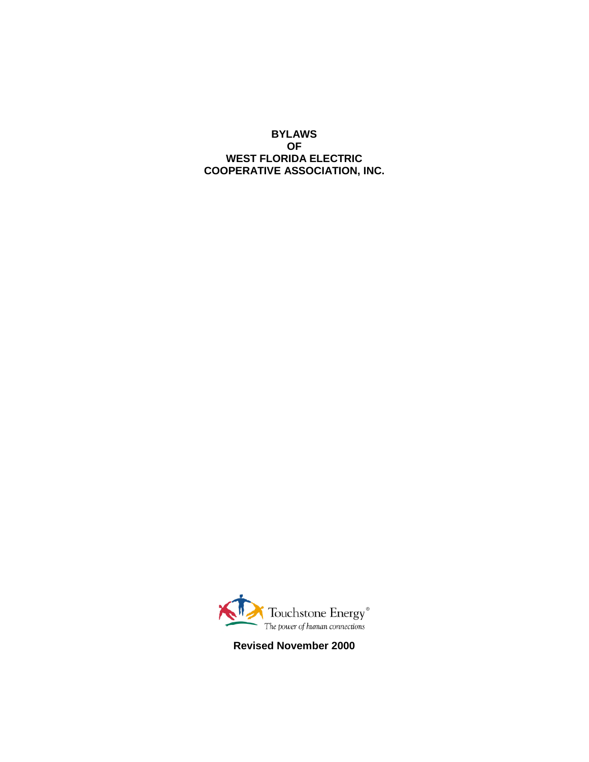**BYLAWS OF WEST FLORIDA ELECTRIC COOPERATIVE ASSOCIATION, INC.**



**Revised November 2000**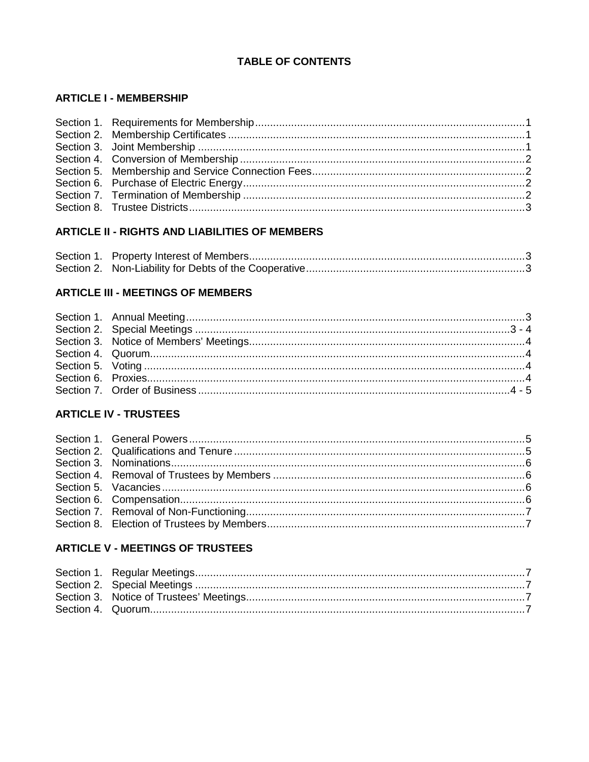# **TABLE OF CONTENTS**

### **ARTICLE I - MEMBERSHIP**

# **ARTICLE II - RIGHTS AND LIABILITIES OF MEMBERS**

### **ARTICLE III - MEETINGS OF MEMBERS**

# **ARTICLE IV - TRUSTEES**

### **ARTICLE V - MEETINGS OF TRUSTEES**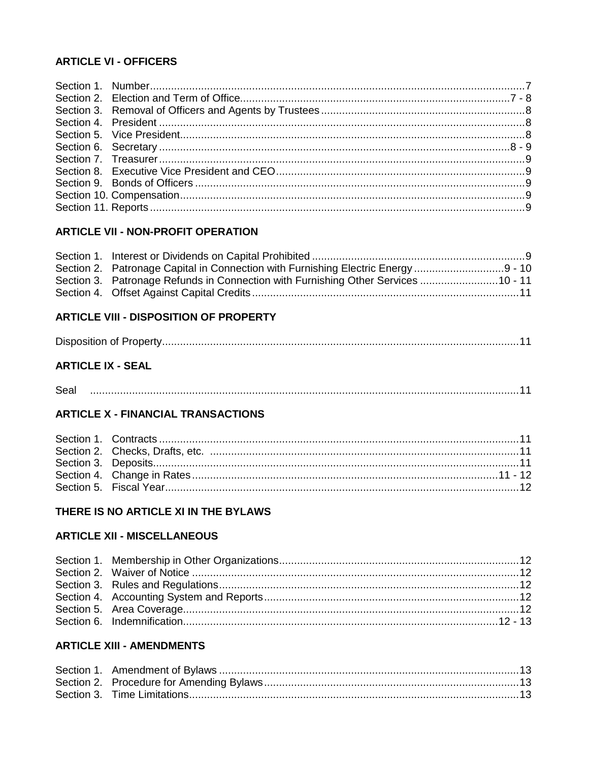#### **ARTICLE VI - OFFICERS**

#### **ARTICLE VII - NON-PROFIT OPERATION**

| Section 2. Patronage Capital in Connection with Furnishing Electric Energy 9 - 10 |  |
|-----------------------------------------------------------------------------------|--|
| Section 3. Patronage Refunds in Connection with Furnishing Other Services 10 - 11 |  |
|                                                                                   |  |

# **ARTICLE VIII - DISPOSITION OF PROPERTY**

|--|

# **ARTICLE IX - SEAL**

# **ARTICLE X - FINANCIAL TRANSACTIONS**

#### THERE IS NO ARTICLE XI IN THE BYLAWS

### **ARTICLE XII - MISCELLANEOUS**

### **ARTICLE XIII - AMENDMENTS**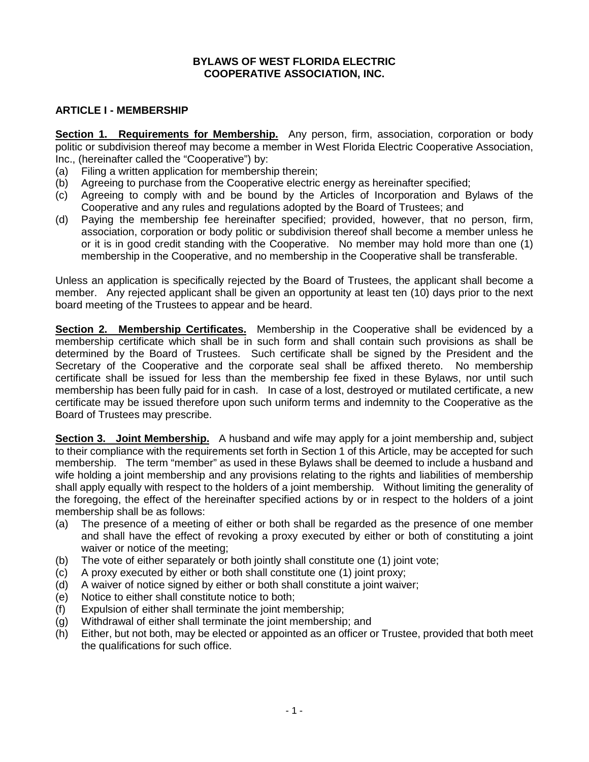#### **BYLAWS OF WEST FLORIDA ELECTRIC COOPERATIVE ASSOCIATION, INC.**

#### **ARTICLE I - MEMBERSHIP**

**Section 1. Requirements for Membership.** Any person, firm, association, corporation or body politic or subdivision thereof may become a member in West Florida Electric Cooperative Association, Inc., (hereinafter called the "Cooperative") by:

- (a) Filing a written application for membership therein;
- (b) Agreeing to purchase from the Cooperative electric energy as hereinafter specified;
- (c) Agreeing to comply with and be bound by the Articles of Incorporation and Bylaws of the Cooperative and any rules and regulations adopted by the Board of Trustees; and
- (d) Paying the membership fee hereinafter specified; provided, however, that no person, firm, association, corporation or body politic or subdivision thereof shall become a member unless he or it is in good credit standing with the Cooperative. No member may hold more than one (1) membership in the Cooperative, and no membership in the Cooperative shall be transferable.

Unless an application is specifically rejected by the Board of Trustees, the applicant shall become a member. Any rejected applicant shall be given an opportunity at least ten (10) days prior to the next board meeting of the Trustees to appear and be heard.

**Section 2. Membership Certificates.** Membership in the Cooperative shall be evidenced by a membership certificate which shall be in such form and shall contain such provisions as shall be determined by the Board of Trustees. Such certificate shall be signed by the President and the Secretary of the Cooperative and the corporate seal shall be affixed thereto. No membership certificate shall be issued for less than the membership fee fixed in these Bylaws, nor until such membership has been fully paid for in cash. In case of a lost, destroyed or mutilated certificate, a new certificate may be issued therefore upon such uniform terms and indemnity to the Cooperative as the Board of Trustees may prescribe.

**Section 3. Joint Membership.** A husband and wife may apply for a joint membership and, subject to their compliance with the requirements set forth in Section 1 of this Article, may be accepted for such membership. The term "member" as used in these Bylaws shall be deemed to include a husband and wife holding a joint membership and any provisions relating to the rights and liabilities of membership shall apply equally with respect to the holders of a joint membership. Without limiting the generality of the foregoing, the effect of the hereinafter specified actions by or in respect to the holders of a joint membership shall be as follows:

- (a) The presence of a meeting of either or both shall be regarded as the presence of one member and shall have the effect of revoking a proxy executed by either or both of constituting a joint waiver or notice of the meeting;
- (b) The vote of either separately or both jointly shall constitute one (1) joint vote;
- (c) A proxy executed by either or both shall constitute one (1) joint proxy;
- (d) A waiver of notice signed by either or both shall constitute a joint waiver;
- (e) Notice to either shall constitute notice to both;
- (f) Expulsion of either shall terminate the joint membership;
- (g) Withdrawal of either shall terminate the joint membership; and
- (h) Either, but not both, may be elected or appointed as an officer or Trustee, provided that both meet the qualifications for such office.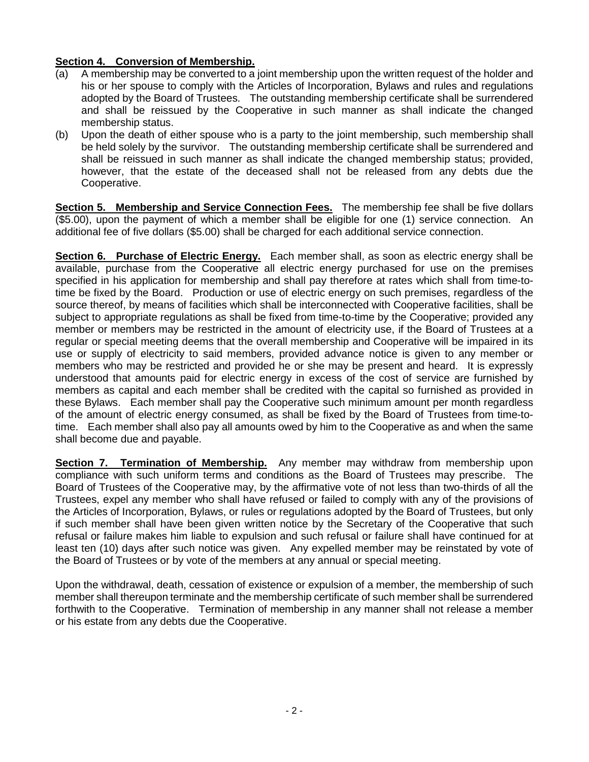#### **Section 4. Conversion of Membership.**

- (a) A membership may be converted to a joint membership upon the written request of the holder and his or her spouse to comply with the Articles of Incorporation, Bylaws and rules and regulations adopted by the Board of Trustees. The outstanding membership certificate shall be surrendered and shall be reissued by the Cooperative in such manner as shall indicate the changed membership status.
- (b) Upon the death of either spouse who is a party to the joint membership, such membership shall be held solely by the survivor. The outstanding membership certificate shall be surrendered and shall be reissued in such manner as shall indicate the changed membership status; provided, however, that the estate of the deceased shall not be released from any debts due the Cooperative.

**Section 5. Membership and Service Connection Fees.** The membership fee shall be five dollars (\$5.00), upon the payment of which a member shall be eligible for one (1) service connection. An additional fee of five dollars (\$5.00) shall be charged for each additional service connection.

**Section 6. Purchase of Electric Energy.** Each member shall, as soon as electric energy shall be available, purchase from the Cooperative all electric energy purchased for use on the premises specified in his application for membership and shall pay therefore at rates which shall from time-totime be fixed by the Board. Production or use of electric energy on such premises, regardless of the source thereof, by means of facilities which shall be interconnected with Cooperative facilities, shall be subject to appropriate regulations as shall be fixed from time-to-time by the Cooperative; provided any member or members may be restricted in the amount of electricity use, if the Board of Trustees at a regular or special meeting deems that the overall membership and Cooperative will be impaired in its use or supply of electricity to said members, provided advance notice is given to any member or members who may be restricted and provided he or she may be present and heard. It is expressly understood that amounts paid for electric energy in excess of the cost of service are furnished by members as capital and each member shall be credited with the capital so furnished as provided in these Bylaws. Each member shall pay the Cooperative such minimum amount per month regardless of the amount of electric energy consumed, as shall be fixed by the Board of Trustees from time-totime. Each member shall also pay all amounts owed by him to the Cooperative as and when the same shall become due and payable.

**Section 7. Termination of Membership.** Any member may withdraw from membership upon compliance with such uniform terms and conditions as the Board of Trustees may prescribe. The Board of Trustees of the Cooperative may, by the affirmative vote of not less than two-thirds of all the Trustees, expel any member who shall have refused or failed to comply with any of the provisions of the Articles of Incorporation, Bylaws, or rules or regulations adopted by the Board of Trustees, but only if such member shall have been given written notice by the Secretary of the Cooperative that such refusal or failure makes him liable to expulsion and such refusal or failure shall have continued for at least ten (10) days after such notice was given. Any expelled member may be reinstated by vote of the Board of Trustees or by vote of the members at any annual or special meeting.

Upon the withdrawal, death, cessation of existence or expulsion of a member, the membership of such member shall thereupon terminate and the membership certificate of such member shall be surrendered forthwith to the Cooperative. Termination of membership in any manner shall not release a member or his estate from any debts due the Cooperative.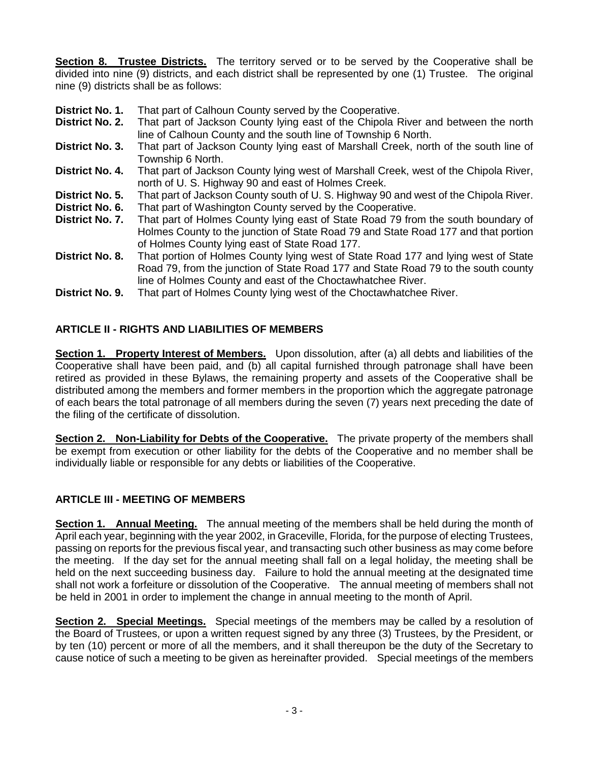**Section 8. Trustee Districts.** The territory served or to be served by the Cooperative shall be divided into nine (9) districts, and each district shall be represented by one (1) Trustee. The original nine (9) districts shall be as follows:

- **District No. 1.** That part of Calhoun County served by the Cooperative.
- **District No. 2.** That part of Jackson County lying east of the Chipola River and between the north line of Calhoun County and the south line of Township 6 North.
- **District No. 3.** That part of Jackson County lying east of Marshall Creek, north of the south line of Township 6 North.
- **District No. 4.** That part of Jackson County lying west of Marshall Creek, west of the Chipola River, north of U. S. Highway 90 and east of Holmes Creek.
- **District No. 5.** That part of Jackson County south of U. S. Highway 90 and west of the Chipola River.
- **District No. 6.** That part of Washington County served by the Cooperative.
- **District No. 7.** That part of Holmes County lying east of State Road 79 from the south boundary of Holmes County to the junction of State Road 79 and State Road 177 and that portion of Holmes County lying east of State Road 177.
- **District No. 8.** That portion of Holmes County lying west of State Road 177 and lying west of State Road 79, from the junction of State Road 177 and State Road 79 to the south county line of Holmes County and east of the Choctawhatchee River.
- **District No. 9.** That part of Holmes County lying west of the Choctawhatchee River.

#### **ARTICLE II - RIGHTS AND LIABILITIES OF MEMBERS**

**Section 1. Property Interest of Members.** Upon dissolution, after (a) all debts and liabilities of the Cooperative shall have been paid, and (b) all capital furnished through patronage shall have been retired as provided in these Bylaws, the remaining property and assets of the Cooperative shall be distributed among the members and former members in the proportion which the aggregate patronage of each bears the total patronage of all members during the seven (7) years next preceding the date of the filing of the certificate of dissolution.

**Section 2. Non-Liability for Debts of the Cooperative.** The private property of the members shall be exempt from execution or other liability for the debts of the Cooperative and no member shall be individually liable or responsible for any debts or liabilities of the Cooperative.

#### **ARTICLE III - MEETING OF MEMBERS**

**Section 1. Annual Meeting.** The annual meeting of the members shall be held during the month of April each year, beginning with the year 2002, in Graceville, Florida, for the purpose of electing Trustees, passing on reports for the previous fiscal year, and transacting such other business as may come before the meeting. If the day set for the annual meeting shall fall on a legal holiday, the meeting shall be held on the next succeeding business day. Failure to hold the annual meeting at the designated time shall not work a forfeiture or dissolution of the Cooperative. The annual meeting of members shall not be held in 2001 in order to implement the change in annual meeting to the month of April.

**Section 2. Special Meetings.** Special meetings of the members may be called by a resolution of the Board of Trustees, or upon a written request signed by any three (3) Trustees, by the President, or by ten (10) percent or more of all the members, and it shall thereupon be the duty of the Secretary to cause notice of such a meeting to be given as hereinafter provided. Special meetings of the members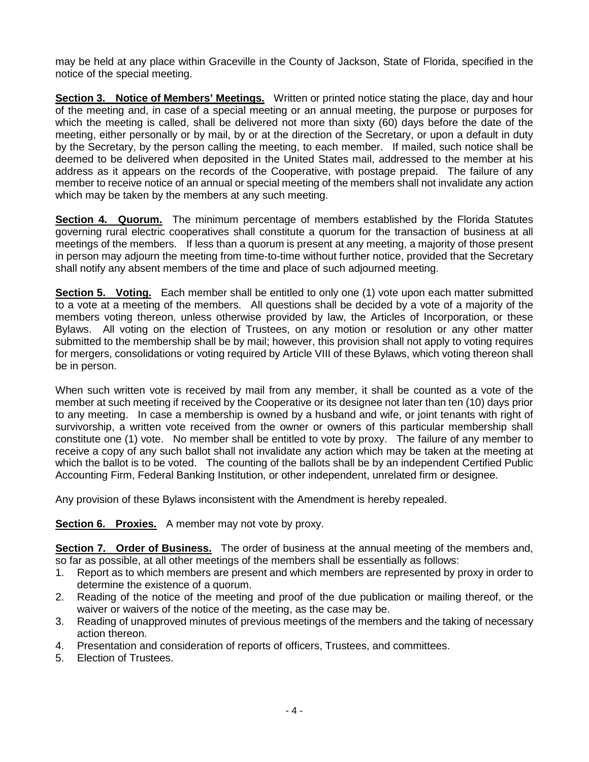may be held at any place within Graceville in the County of Jackson, State of Florida, specified in the notice of the special meeting.

**Section 3. Notice of Members' Meetings.** Written or printed notice stating the place, day and hour of the meeting and, in case of a special meeting or an annual meeting, the purpose or purposes for which the meeting is called, shall be delivered not more than sixty (60) days before the date of the meeting, either personally or by mail, by or at the direction of the Secretary, or upon a default in duty by the Secretary, by the person calling the meeting, to each member. If mailed, such notice shall be deemed to be delivered when deposited in the United States mail, addressed to the member at his address as it appears on the records of the Cooperative, with postage prepaid. The failure of any member to receive notice of an annual or special meeting of the members shall not invalidate any action which may be taken by the members at any such meeting.

**Section 4. Quorum.** The minimum percentage of members established by the Florida Statutes governing rural electric cooperatives shall constitute a quorum for the transaction of business at all meetings of the members. If less than a quorum is present at any meeting, a majority of those present in person may adjourn the meeting from time-to-time without further notice, provided that the Secretary shall notify any absent members of the time and place of such adjourned meeting.

**Section 5. Voting.** Each member shall be entitled to only one (1) vote upon each matter submitted to a vote at a meeting of the members. All questions shall be decided by a vote of a majority of the members voting thereon, unless otherwise provided by law, the Articles of Incorporation, or these Bylaws. All voting on the election of Trustees, on any motion or resolution or any other matter submitted to the membership shall be by mail; however, this provision shall not apply to voting requires for mergers, consolidations or voting required by Article VIII of these Bylaws, which voting thereon shall be in person.

When such written vote is received by mail from any member, it shall be counted as a vote of the member at such meeting if received by the Cooperative or its designee not later than ten (10) days prior to any meeting. In case a membership is owned by a husband and wife, or joint tenants with right of survivorship, a written vote received from the owner or owners of this particular membership shall constitute one (1) vote. No member shall be entitled to vote by proxy. The failure of any member to receive a copy of any such ballot shall not invalidate any action which may be taken at the meeting at which the ballot is to be voted. The counting of the ballots shall be by an independent Certified Public Accounting Firm, Federal Banking Institution, or other independent, unrelated firm or designee.

Any provision of these Bylaws inconsistent with the Amendment is hereby repealed.

**Section 6. Proxies.** A member may not vote by proxy.

**Section 7. Order of Business.** The order of business at the annual meeting of the members and, so far as possible, at all other meetings of the members shall be essentially as follows:

- 1. Report as to which members are present and which members are represented by proxy in order to determine the existence of a quorum.
- 2. Reading of the notice of the meeting and proof of the due publication or mailing thereof, or the waiver or waivers of the notice of the meeting, as the case may be.
- 3. Reading of unapproved minutes of previous meetings of the members and the taking of necessary action thereon.
- 4. Presentation and consideration of reports of officers, Trustees, and committees.
- 5. Election of Trustees.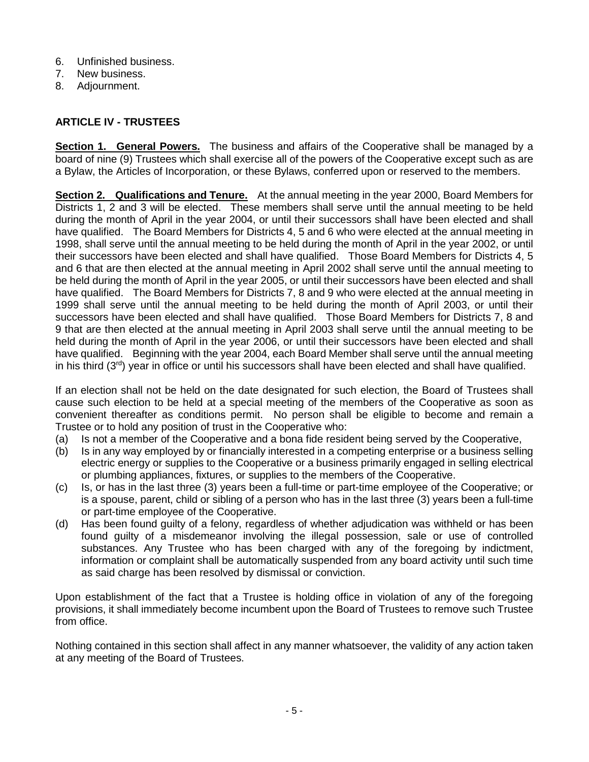- 6. Unfinished business.
- 7. New business.
- 8. Adjournment.

# **ARTICLE IV - TRUSTEES**

**Section 1. General Powers.** The business and affairs of the Cooperative shall be managed by a board of nine (9) Trustees which shall exercise all of the powers of the Cooperative except such as are a Bylaw, the Articles of Incorporation, or these Bylaws, conferred upon or reserved to the members.

**Section 2. Qualifications and Tenure.** At the annual meeting in the year 2000, Board Members for Districts 1, 2 and 3 will be elected. These members shall serve until the annual meeting to be held during the month of April in the year 2004, or until their successors shall have been elected and shall have qualified. The Board Members for Districts 4, 5 and 6 who were elected at the annual meeting in 1998, shall serve until the annual meeting to be held during the month of April in the year 2002, or until their successors have been elected and shall have qualified. Those Board Members for Districts 4, 5 and 6 that are then elected at the annual meeting in April 2002 shall serve until the annual meeting to be held during the month of April in the year 2005, or until their successors have been elected and shall have qualified. The Board Members for Districts 7, 8 and 9 who were elected at the annual meeting in 1999 shall serve until the annual meeting to be held during the month of April 2003, or until their successors have been elected and shall have qualified. Those Board Members for Districts 7, 8 and 9 that are then elected at the annual meeting in April 2003 shall serve until the annual meeting to be held during the month of April in the year 2006, or until their successors have been elected and shall have qualified. Beginning with the year 2004, each Board Member shall serve until the annual meeting in his third (3rd) year in office or until his successors shall have been elected and shall have qualified.

If an election shall not be held on the date designated for such election, the Board of Trustees shall cause such election to be held at a special meeting of the members of the Cooperative as soon as convenient thereafter as conditions permit. No person shall be eligible to become and remain a Trustee or to hold any position of trust in the Cooperative who:

- (a) Is not a member of the Cooperative and a bona fide resident being served by the Cooperative,
- (b) Is in any way employed by or financially interested in a competing enterprise or a business selling electric energy or supplies to the Cooperative or a business primarily engaged in selling electrical or plumbing appliances, fixtures, or supplies to the members of the Cooperative.
- (c) Is, or has in the last three (3) years been a full-time or part-time employee of the Cooperative; or is a spouse, parent, child or sibling of a person who has in the last three (3) years been a full-time or part-time employee of the Cooperative.
- (d) Has been found guilty of a felony, regardless of whether adjudication was withheld or has been found guilty of a misdemeanor involving the illegal possession, sale or use of controlled substances. Any Trustee who has been charged with any of the foregoing by indictment, information or complaint shall be automatically suspended from any board activity until such time as said charge has been resolved by dismissal or conviction.

Upon establishment of the fact that a Trustee is holding office in violation of any of the foregoing provisions, it shall immediately become incumbent upon the Board of Trustees to remove such Trustee from office.

Nothing contained in this section shall affect in any manner whatsoever, the validity of any action taken at any meeting of the Board of Trustees.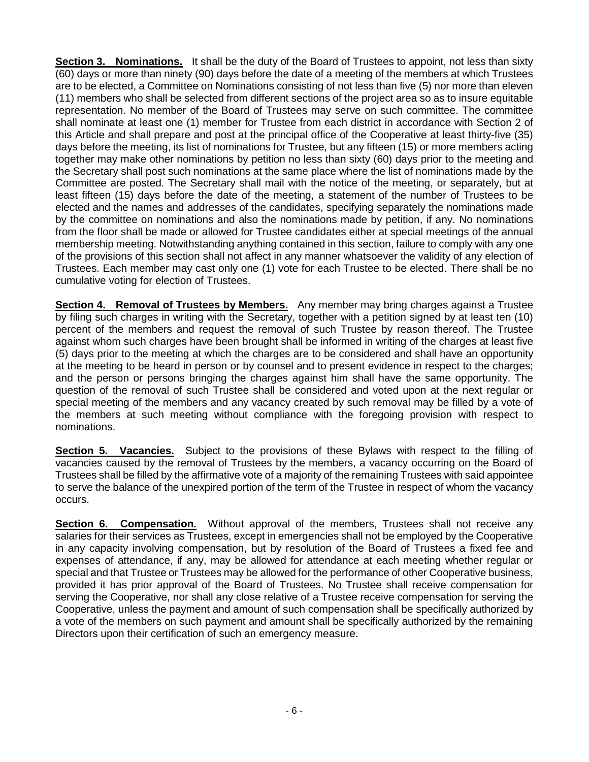**Section 3. Nominations.** It shall be the duty of the Board of Trustees to appoint, not less than sixty (60) days or more than ninety (90) days before the date of a meeting of the members at which Trustees are to be elected, a Committee on Nominations consisting of not less than five (5) nor more than eleven (11) members who shall be selected from different sections of the project area so as to insure equitable representation. No member of the Board of Trustees may serve on such committee. The committee shall nominate at least one (1) member for Trustee from each district in accordance with Section 2 of this Article and shall prepare and post at the principal office of the Cooperative at least thirty-five (35) days before the meeting, its list of nominations for Trustee, but any fifteen (15) or more members acting together may make other nominations by petition no less than sixty (60) days prior to the meeting and the Secretary shall post such nominations at the same place where the list of nominations made by the Committee are posted. The Secretary shall mail with the notice of the meeting, or separately, but at least fifteen (15) days before the date of the meeting, a statement of the number of Trustees to be elected and the names and addresses of the candidates, specifying separately the nominations made by the committee on nominations and also the nominations made by petition, if any. No nominations from the floor shall be made or allowed for Trustee candidates either at special meetings of the annual membership meeting. Notwithstanding anything contained in this section, failure to comply with any one of the provisions of this section shall not affect in any manner whatsoever the validity of any election of Trustees. Each member may cast only one (1) vote for each Trustee to be elected. There shall be no cumulative voting for election of Trustees.

**Section 4. Removal of Trustees by Members.** Any member may bring charges against a Trustee by filing such charges in writing with the Secretary, together with a petition signed by at least ten (10) percent of the members and request the removal of such Trustee by reason thereof. The Trustee against whom such charges have been brought shall be informed in writing of the charges at least five (5) days prior to the meeting at which the charges are to be considered and shall have an opportunity at the meeting to be heard in person or by counsel and to present evidence in respect to the charges; and the person or persons bringing the charges against him shall have the same opportunity. The question of the removal of such Trustee shall be considered and voted upon at the next regular or special meeting of the members and any vacancy created by such removal may be filled by a vote of the members at such meeting without compliance with the foregoing provision with respect to nominations.

**Section 5. Vacancies.** Subject to the provisions of these Bylaws with respect to the filling of vacancies caused by the removal of Trustees by the members, a vacancy occurring on the Board of Trustees shall be filled by the affirmative vote of a majority of the remaining Trustees with said appointee to serve the balance of the unexpired portion of the term of the Trustee in respect of whom the vacancy occurs.

**Section 6. Compensation.** Without approval of the members, Trustees shall not receive any salaries for their services as Trustees, except in emergencies shall not be employed by the Cooperative in any capacity involving compensation, but by resolution of the Board of Trustees a fixed fee and expenses of attendance, if any, may be allowed for attendance at each meeting whether regular or special and that Trustee or Trustees may be allowed for the performance of other Cooperative business, provided it has prior approval of the Board of Trustees. No Trustee shall receive compensation for serving the Cooperative, nor shall any close relative of a Trustee receive compensation for serving the Cooperative, unless the payment and amount of such compensation shall be specifically authorized by a vote of the members on such payment and amount shall be specifically authorized by the remaining Directors upon their certification of such an emergency measure.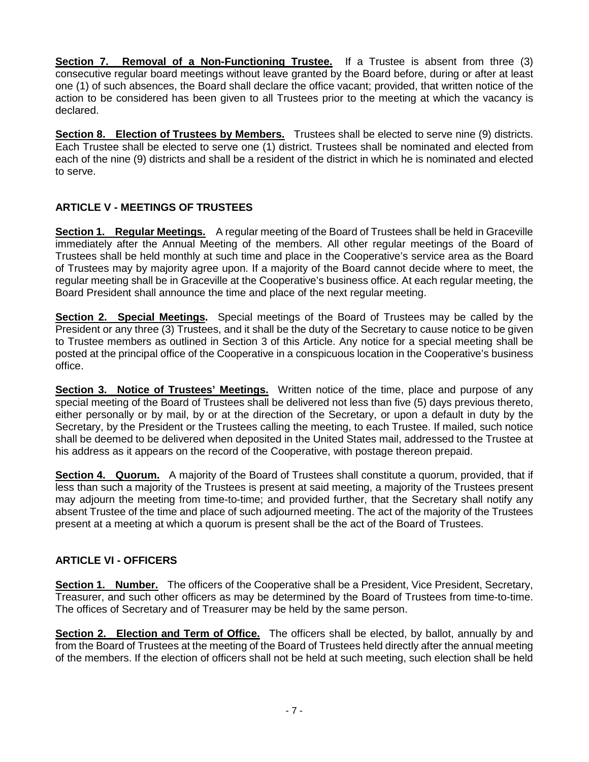**Section 7. Removal of a Non-Functioning Trustee.** If a Trustee is absent from three (3) consecutive regular board meetings without leave granted by the Board before, during or after at least one (1) of such absences, the Board shall declare the office vacant; provided, that written notice of the action to be considered has been given to all Trustees prior to the meeting at which the vacancy is declared.

**Section 8. Election of Trustees by Members.** Trustees shall be elected to serve nine (9) districts. Each Trustee shall be elected to serve one (1) district. Trustees shall be nominated and elected from each of the nine (9) districts and shall be a resident of the district in which he is nominated and elected to serve.

# **ARTICLE V - MEETINGS OF TRUSTEES**

**Section 1. Regular Meetings.** A regular meeting of the Board of Trustees shall be held in Graceville immediately after the Annual Meeting of the members. All other regular meetings of the Board of Trustees shall be held monthly at such time and place in the Cooperative's service area as the Board of Trustees may by majority agree upon. If a majority of the Board cannot decide where to meet, the regular meeting shall be in Graceville at the Cooperative's business office. At each regular meeting, the Board President shall announce the time and place of the next regular meeting.

**Section 2. Special Meetings.** Special meetings of the Board of Trustees may be called by the President or any three (3) Trustees, and it shall be the duty of the Secretary to cause notice to be given to Trustee members as outlined in Section 3 of this Article. Any notice for a special meeting shall be posted at the principal office of the Cooperative in a conspicuous location in the Cooperative's business office.

**Section 3. Notice of Trustees' Meetings.** Written notice of the time, place and purpose of any special meeting of the Board of Trustees shall be delivered not less than five (5) days previous thereto, either personally or by mail, by or at the direction of the Secretary, or upon a default in duty by the Secretary, by the President or the Trustees calling the meeting, to each Trustee. If mailed, such notice shall be deemed to be delivered when deposited in the United States mail, addressed to the Trustee at his address as it appears on the record of the Cooperative, with postage thereon prepaid.

**Section 4. Quorum.** A majority of the Board of Trustees shall constitute a quorum, provided, that if less than such a majority of the Trustees is present at said meeting, a majority of the Trustees present may adjourn the meeting from time-to-time; and provided further, that the Secretary shall notify any absent Trustee of the time and place of such adjourned meeting. The act of the majority of the Trustees present at a meeting at which a quorum is present shall be the act of the Board of Trustees.

# **ARTICLE VI - OFFICERS**

**Section 1. Number.** The officers of the Cooperative shall be a President, Vice President, Secretary, Treasurer, and such other officers as may be determined by the Board of Trustees from time-to-time. The offices of Secretary and of Treasurer may be held by the same person.

**Section 2. Election and Term of Office.** The officers shall be elected, by ballot, annually by and from the Board of Trustees at the meeting of the Board of Trustees held directly after the annual meeting of the members. If the election of officers shall not be held at such meeting, such election shall be held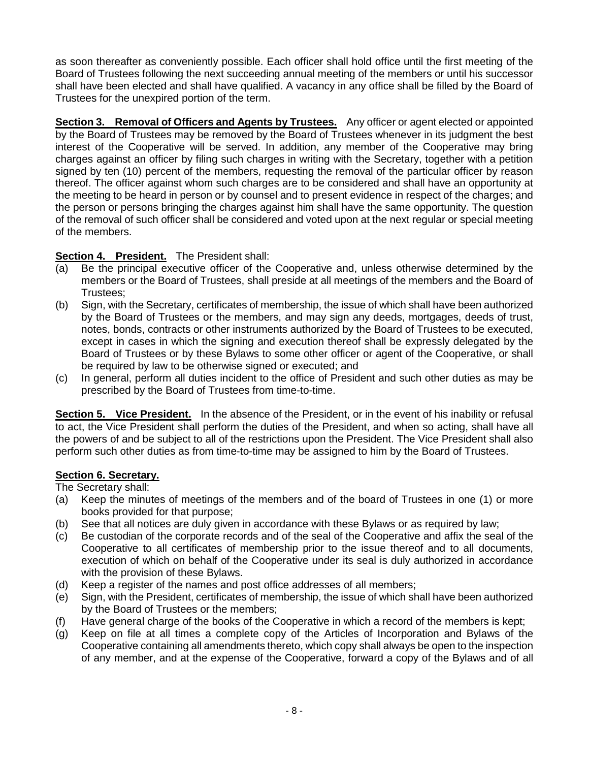as soon thereafter as conveniently possible. Each officer shall hold office until the first meeting of the Board of Trustees following the next succeeding annual meeting of the members or until his successor shall have been elected and shall have qualified. A vacancy in any office shall be filled by the Board of Trustees for the unexpired portion of the term.

**Section 3. Removal of Officers and Agents by Trustees.** Any officer or agent elected or appointed by the Board of Trustees may be removed by the Board of Trustees whenever in its judgment the best interest of the Cooperative will be served. In addition, any member of the Cooperative may bring charges against an officer by filing such charges in writing with the Secretary, together with a petition signed by ten (10) percent of the members, requesting the removal of the particular officer by reason thereof. The officer against whom such charges are to be considered and shall have an opportunity at the meeting to be heard in person or by counsel and to present evidence in respect of the charges; and the person or persons bringing the charges against him shall have the same opportunity. The question of the removal of such officer shall be considered and voted upon at the next regular or special meeting of the members.

# **Section 4. President.** The President shall:

- (a) Be the principal executive officer of the Cooperative and, unless otherwise determined by the members or the Board of Trustees, shall preside at all meetings of the members and the Board of Trustees;
- (b) Sign, with the Secretary, certificates of membership, the issue of which shall have been authorized by the Board of Trustees or the members, and may sign any deeds, mortgages, deeds of trust, notes, bonds, contracts or other instruments authorized by the Board of Trustees to be executed, except in cases in which the signing and execution thereof shall be expressly delegated by the Board of Trustees or by these Bylaws to some other officer or agent of the Cooperative, or shall be required by law to be otherwise signed or executed; and
- (c) In general, perform all duties incident to the office of President and such other duties as may be prescribed by the Board of Trustees from time-to-time.

**Section 5. Vice President.** In the absence of the President, or in the event of his inability or refusal to act, the Vice President shall perform the duties of the President, and when so acting, shall have all the powers of and be subject to all of the restrictions upon the President. The Vice President shall also perform such other duties as from time-to-time may be assigned to him by the Board of Trustees.

# **Section 6. Secretary.**

The Secretary shall:

- (a) Keep the minutes of meetings of the members and of the board of Trustees in one (1) or more books provided for that purpose;
- (b) See that all notices are duly given in accordance with these Bylaws or as required by law;
- (c) Be custodian of the corporate records and of the seal of the Cooperative and affix the seal of the Cooperative to all certificates of membership prior to the issue thereof and to all documents, execution of which on behalf of the Cooperative under its seal is duly authorized in accordance with the provision of these Bylaws.
- (d) Keep a register of the names and post office addresses of all members;
- (e) Sign, with the President, certificates of membership, the issue of which shall have been authorized by the Board of Trustees or the members;
- (f) Have general charge of the books of the Cooperative in which a record of the members is kept;
- (g) Keep on file at all times a complete copy of the Articles of Incorporation and Bylaws of the Cooperative containing all amendments thereto, which copy shall always be open to the inspection of any member, and at the expense of the Cooperative, forward a copy of the Bylaws and of all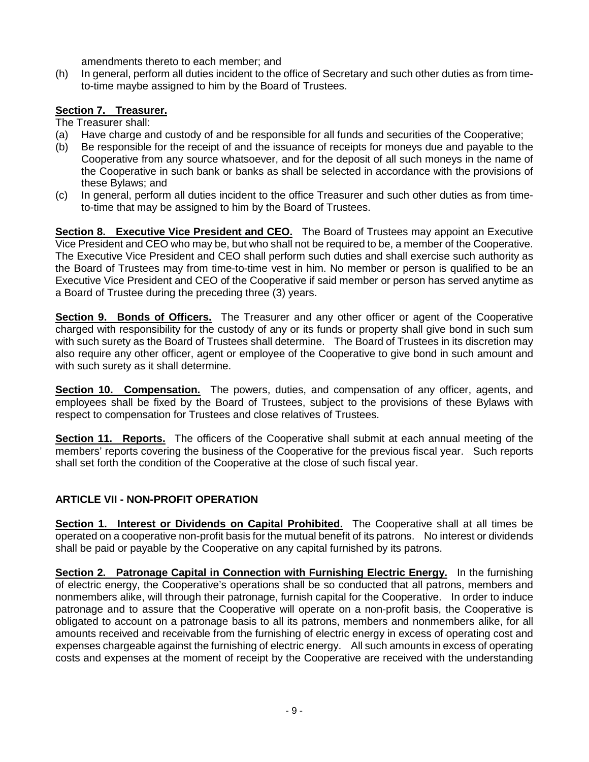amendments thereto to each member; and

(h) In general, perform all duties incident to the office of Secretary and such other duties as from timeto-time maybe assigned to him by the Board of Trustees.

# **Section 7. Treasurer.**

- The Treasurer shall:
- (a) Have charge and custody of and be responsible for all funds and securities of the Cooperative;
- (b) Be responsible for the receipt of and the issuance of receipts for moneys due and payable to the Cooperative from any source whatsoever, and for the deposit of all such moneys in the name of the Cooperative in such bank or banks as shall be selected in accordance with the provisions of these Bylaws; and
- (c) In general, perform all duties incident to the office Treasurer and such other duties as from timeto-time that may be assigned to him by the Board of Trustees.

**Section 8. Executive Vice President and CEO.** The Board of Trustees may appoint an Executive Vice President and CEO who may be, but who shall not be required to be, a member of the Cooperative. The Executive Vice President and CEO shall perform such duties and shall exercise such authority as the Board of Trustees may from time-to-time vest in him. No member or person is qualified to be an Executive Vice President and CEO of the Cooperative if said member or person has served anytime as a Board of Trustee during the preceding three (3) years.

**Section 9. Bonds of Officers.** The Treasurer and any other officer or agent of the Cooperative charged with responsibility for the custody of any or its funds or property shall give bond in such sum with such surety as the Board of Trustees shall determine. The Board of Trustees in its discretion may also require any other officer, agent or employee of the Cooperative to give bond in such amount and with such surety as it shall determine.

**Section 10. Compensation.** The powers, duties, and compensation of any officer, agents, and employees shall be fixed by the Board of Trustees, subject to the provisions of these Bylaws with respect to compensation for Trustees and close relatives of Trustees.

**Section 11. Reports.** The officers of the Cooperative shall submit at each annual meeting of the members' reports covering the business of the Cooperative for the previous fiscal year. Such reports shall set forth the condition of the Cooperative at the close of such fiscal year.

# **ARTICLE VII - NON-PROFIT OPERATION**

**Section 1. Interest or Dividends on Capital Prohibited.** The Cooperative shall at all times be operated on a cooperative non-profit basis for the mutual benefit of its patrons. No interest or dividends shall be paid or payable by the Cooperative on any capital furnished by its patrons.

**Section 2. Patronage Capital in Connection with Furnishing Electric Energy.** In the furnishing of electric energy, the Cooperative's operations shall be so conducted that all patrons, members and nonmembers alike, will through their patronage, furnish capital for the Cooperative. In order to induce patronage and to assure that the Cooperative will operate on a non-profit basis, the Cooperative is obligated to account on a patronage basis to all its patrons, members and nonmembers alike, for all amounts received and receivable from the furnishing of electric energy in excess of operating cost and expenses chargeable against the furnishing of electric energy. All such amounts in excess of operating costs and expenses at the moment of receipt by the Cooperative are received with the understanding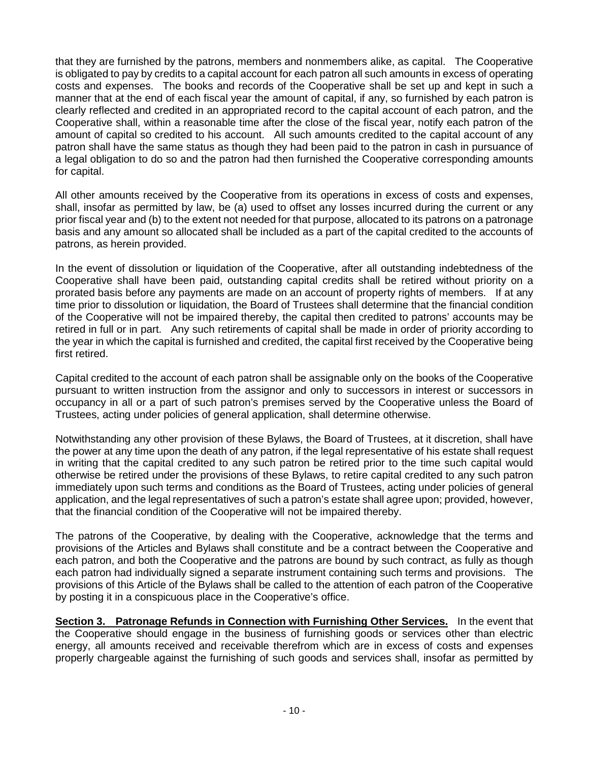that they are furnished by the patrons, members and nonmembers alike, as capital. The Cooperative is obligated to pay by credits to a capital account for each patron all such amounts in excess of operating costs and expenses. The books and records of the Cooperative shall be set up and kept in such a manner that at the end of each fiscal year the amount of capital, if any, so furnished by each patron is clearly reflected and credited in an appropriated record to the capital account of each patron, and the Cooperative shall, within a reasonable time after the close of the fiscal year, notify each patron of the amount of capital so credited to his account. All such amounts credited to the capital account of any patron shall have the same status as though they had been paid to the patron in cash in pursuance of a legal obligation to do so and the patron had then furnished the Cooperative corresponding amounts for capital.

All other amounts received by the Cooperative from its operations in excess of costs and expenses, shall, insofar as permitted by law, be (a) used to offset any losses incurred during the current or any prior fiscal year and (b) to the extent not needed for that purpose, allocated to its patrons on a patronage basis and any amount so allocated shall be included as a part of the capital credited to the accounts of patrons, as herein provided.

In the event of dissolution or liquidation of the Cooperative, after all outstanding indebtedness of the Cooperative shall have been paid, outstanding capital credits shall be retired without priority on a prorated basis before any payments are made on an account of property rights of members. If at any time prior to dissolution or liquidation, the Board of Trustees shall determine that the financial condition of the Cooperative will not be impaired thereby, the capital then credited to patrons' accounts may be retired in full or in part. Any such retirements of capital shall be made in order of priority according to the year in which the capital is furnished and credited, the capital first received by the Cooperative being first retired.

Capital credited to the account of each patron shall be assignable only on the books of the Cooperative pursuant to written instruction from the assignor and only to successors in interest or successors in occupancy in all or a part of such patron's premises served by the Cooperative unless the Board of Trustees, acting under policies of general application, shall determine otherwise.

Notwithstanding any other provision of these Bylaws, the Board of Trustees, at it discretion, shall have the power at any time upon the death of any patron, if the legal representative of his estate shall request in writing that the capital credited to any such patron be retired prior to the time such capital would otherwise be retired under the provisions of these Bylaws, to retire capital credited to any such patron immediately upon such terms and conditions as the Board of Trustees, acting under policies of general application, and the legal representatives of such a patron's estate shall agree upon; provided, however, that the financial condition of the Cooperative will not be impaired thereby.

The patrons of the Cooperative, by dealing with the Cooperative, acknowledge that the terms and provisions of the Articles and Bylaws shall constitute and be a contract between the Cooperative and each patron, and both the Cooperative and the patrons are bound by such contract, as fully as though each patron had individually signed a separate instrument containing such terms and provisions. The provisions of this Article of the Bylaws shall be called to the attention of each patron of the Cooperative by posting it in a conspicuous place in the Cooperative's office.

**Section 3. Patronage Refunds in Connection with Furnishing Other Services.** In the event that the Cooperative should engage in the business of furnishing goods or services other than electric energy, all amounts received and receivable therefrom which are in excess of costs and expenses properly chargeable against the furnishing of such goods and services shall, insofar as permitted by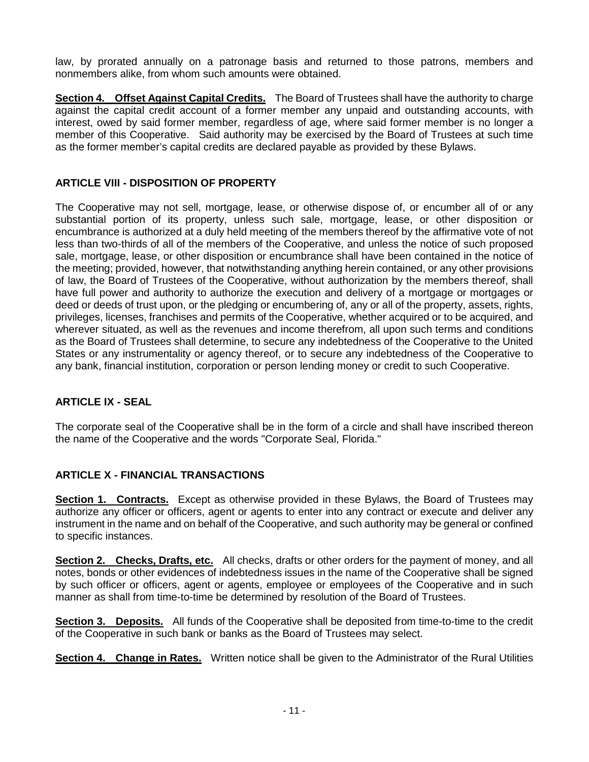law, by prorated annually on a patronage basis and returned to those patrons, members and nonmembers alike, from whom such amounts were obtained.

**Section 4. Offset Against Capital Credits.** The Board of Trustees shall have the authority to charge against the capital credit account of a former member any unpaid and outstanding accounts, with interest, owed by said former member, regardless of age, where said former member is no longer a member of this Cooperative. Said authority may be exercised by the Board of Trustees at such time as the former member's capital credits are declared payable as provided by these Bylaws.

# **ARTICLE VIII - DISPOSITION OF PROPERTY**

The Cooperative may not sell, mortgage, lease, or otherwise dispose of, or encumber all of or any substantial portion of its property, unless such sale, mortgage, lease, or other disposition or encumbrance is authorized at a duly held meeting of the members thereof by the affirmative vote of not less than two-thirds of all of the members of the Cooperative, and unless the notice of such proposed sale, mortgage, lease, or other disposition or encumbrance shall have been contained in the notice of the meeting; provided, however, that notwithstanding anything herein contained, or any other provisions of law, the Board of Trustees of the Cooperative, without authorization by the members thereof, shall have full power and authority to authorize the execution and delivery of a mortgage or mortgages or deed or deeds of trust upon, or the pledging or encumbering of, any or all of the property, assets, rights, privileges, licenses, franchises and permits of the Cooperative, whether acquired or to be acquired, and wherever situated, as well as the revenues and income therefrom, all upon such terms and conditions as the Board of Trustees shall determine, to secure any indebtedness of the Cooperative to the United States or any instrumentality or agency thereof, or to secure any indebtedness of the Cooperative to any bank, financial institution, corporation or person lending money or credit to such Cooperative.

# **ARTICLE IX - SEAL**

The corporate seal of the Cooperative shall be in the form of a circle and shall have inscribed thereon the name of the Cooperative and the words "Corporate Seal, Florida."

# **ARTICLE X - FINANCIAL TRANSACTIONS**

**Section 1. Contracts.** Except as otherwise provided in these Bylaws, the Board of Trustees may authorize any officer or officers, agent or agents to enter into any contract or execute and deliver any instrument in the name and on behalf of the Cooperative, and such authority may be general or confined to specific instances.

**Section 2. Checks, Drafts, etc.** All checks, drafts or other orders for the payment of money, and all notes, bonds or other evidences of indebtedness issues in the name of the Cooperative shall be signed by such officer or officers, agent or agents, employee or employees of the Cooperative and in such manner as shall from time-to-time be determined by resolution of the Board of Trustees.

**Section 3. Deposits.** All funds of the Cooperative shall be deposited from time-to-time to the credit of the Cooperative in such bank or banks as the Board of Trustees may select.

**Section 4. Change in Rates.** Written notice shall be given to the Administrator of the Rural Utilities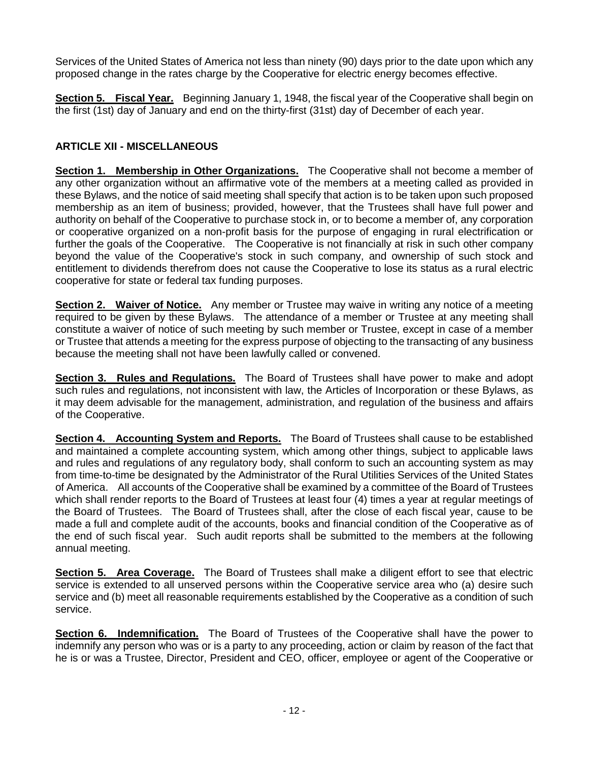Services of the United States of America not less than ninety (90) days prior to the date upon which any proposed change in the rates charge by the Cooperative for electric energy becomes effective.

**Section 5. Fiscal Year.** Beginning January 1, 1948, the fiscal year of the Cooperative shall begin on the first (1st) day of January and end on the thirty-first (31st) day of December of each year.

# **ARTICLE XII - MISCELLANEOUS**

**Section 1. Membership in Other Organizations.** The Cooperative shall not become a member of any other organization without an affirmative vote of the members at a meeting called as provided in these Bylaws, and the notice of said meeting shall specify that action is to be taken upon such proposed membership as an item of business; provided, however, that the Trustees shall have full power and authority on behalf of the Cooperative to purchase stock in, or to become a member of, any corporation or cooperative organized on a non-profit basis for the purpose of engaging in rural electrification or further the goals of the Cooperative. The Cooperative is not financially at risk in such other company beyond the value of the Cooperative's stock in such company, and ownership of such stock and entitlement to dividends therefrom does not cause the Cooperative to lose its status as a rural electric cooperative for state or federal tax funding purposes.

**Section 2. Waiver of Notice.** Any member or Trustee may waive in writing any notice of a meeting required to be given by these Bylaws. The attendance of a member or Trustee at any meeting shall constitute a waiver of notice of such meeting by such member or Trustee, except in case of a member or Trustee that attends a meeting for the express purpose of objecting to the transacting of any business because the meeting shall not have been lawfully called or convened.

**Section 3. Rules and Regulations.** The Board of Trustees shall have power to make and adopt such rules and regulations, not inconsistent with law, the Articles of Incorporation or these Bylaws, as it may deem advisable for the management, administration, and regulation of the business and affairs of the Cooperative.

**Section 4. Accounting System and Reports.** The Board of Trustees shall cause to be established and maintained a complete accounting system, which among other things, subject to applicable laws and rules and regulations of any regulatory body, shall conform to such an accounting system as may from time-to-time be designated by the Administrator of the Rural Utilities Services of the United States of America. All accounts of the Cooperative shall be examined by a committee of the Board of Trustees which shall render reports to the Board of Trustees at least four (4) times a year at regular meetings of the Board of Trustees. The Board of Trustees shall, after the close of each fiscal year, cause to be made a full and complete audit of the accounts, books and financial condition of the Cooperative as of the end of such fiscal year. Such audit reports shall be submitted to the members at the following annual meeting.

**Section 5. Area Coverage.** The Board of Trustees shall make a diligent effort to see that electric service is extended to all unserved persons within the Cooperative service area who (a) desire such service and (b) meet all reasonable requirements established by the Cooperative as a condition of such service.

**Section 6. Indemnification.** The Board of Trustees of the Cooperative shall have the power to indemnify any person who was or is a party to any proceeding, action or claim by reason of the fact that he is or was a Trustee, Director, President and CEO, officer, employee or agent of the Cooperative or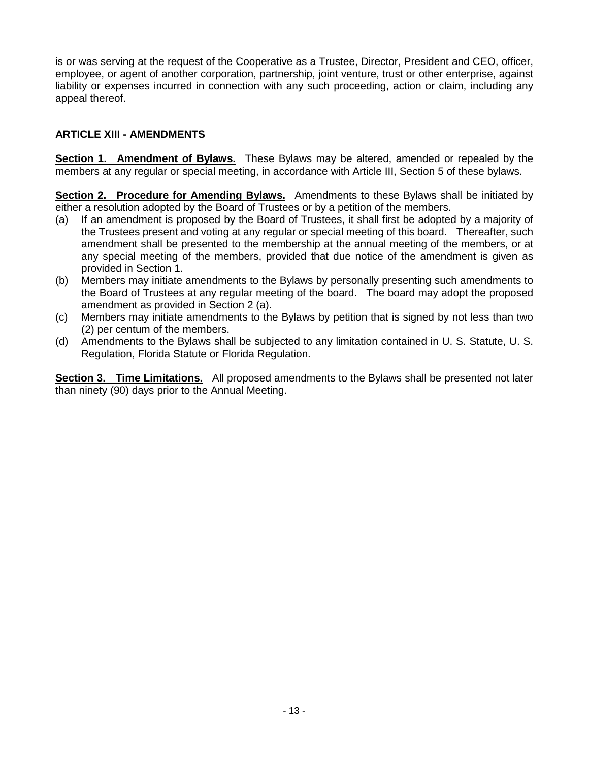is or was serving at the request of the Cooperative as a Trustee, Director, President and CEO, officer, employee, or agent of another corporation, partnership, joint venture, trust or other enterprise, against liability or expenses incurred in connection with any such proceeding, action or claim, including any appeal thereof.

### **ARTICLE XIII - AMENDMENTS**

**Section 1. Amendment of Bylaws.** These Bylaws may be altered, amended or repealed by the members at any regular or special meeting, in accordance with Article III, Section 5 of these bylaws.

**Section 2. Procedure for Amending Bylaws.** Amendments to these Bylaws shall be initiated by either a resolution adopted by the Board of Trustees or by a petition of the members.

- (a) If an amendment is proposed by the Board of Trustees, it shall first be adopted by a majority of the Trustees present and voting at any regular or special meeting of this board. Thereafter, such amendment shall be presented to the membership at the annual meeting of the members, or at any special meeting of the members, provided that due notice of the amendment is given as provided in Section 1.
- (b) Members may initiate amendments to the Bylaws by personally presenting such amendments to the Board of Trustees at any regular meeting of the board. The board may adopt the proposed amendment as provided in Section 2 (a).
- (c) Members may initiate amendments to the Bylaws by petition that is signed by not less than two (2) per centum of the members.
- (d) Amendments to the Bylaws shall be subjected to any limitation contained in U. S. Statute, U. S. Regulation, Florida Statute or Florida Regulation.

**Section 3. Time Limitations.** All proposed amendments to the Bylaws shall be presented not later than ninety (90) days prior to the Annual Meeting.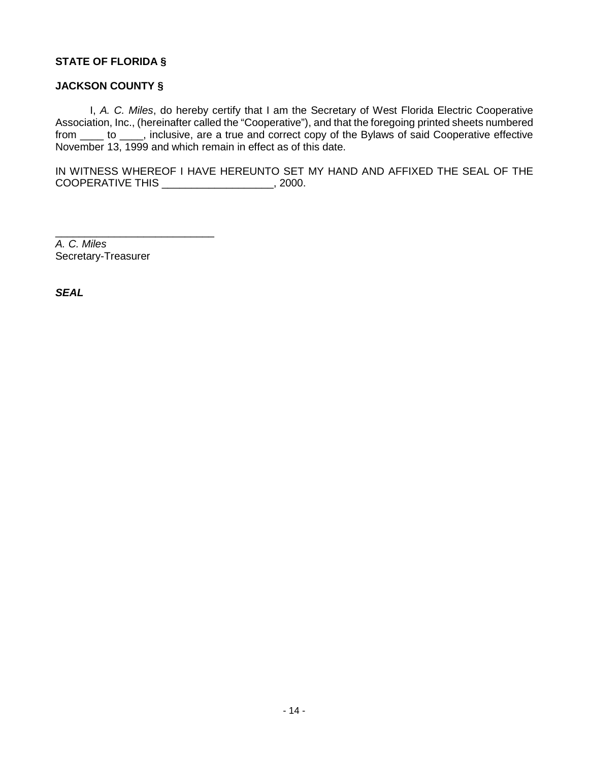### **STATE OF FLORIDA §**

#### **JACKSON COUNTY §**

I, *A. C. Miles*, do hereby certify that I am the Secretary of West Florida Electric Cooperative Association, Inc., (hereinafter called the "Cooperative"), and that the foregoing printed sheets numbered from \_\_\_\_ to \_\_\_\_, inclusive, are a true and correct copy of the Bylaws of said Cooperative effective November 13, 1999 and which remain in effect as of this date.

IN WITNESS WHEREOF I HAVE HEREUNTO SET MY HAND AND AFFIXED THE SEAL OF THE COOPERATIVE THIS \_\_\_\_\_\_\_\_\_\_\_\_\_\_\_\_\_\_\_, 2000.

*A. C. Miles* Secretary-Treasurer

\_\_\_\_\_\_\_\_\_\_\_\_\_\_\_\_\_\_\_\_\_\_\_\_\_\_\_

*SEAL*